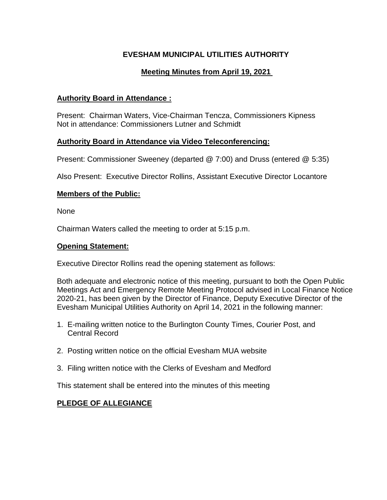# **EVESHAM MUNICIPAL UTILITIES AUTHORITY**

## **Meeting Minutes from April 19, 2021**

### **Authority Board in Attendance :**

Present: Chairman Waters, Vice-Chairman Tencza, Commissioners Kipness Not in attendance: Commissioners Lutner and Schmidt

#### **Authority Board in Attendance via Video Teleconferencing:**

Present: Commissioner Sweeney (departed @ 7:00) and Druss (entered @ 5:35)

Also Present: Executive Director Rollins, Assistant Executive Director Locantore

#### **Members of the Public:**

None

Chairman Waters called the meeting to order at 5:15 p.m.

#### **Opening Statement:**

Executive Director Rollins read the opening statement as follows:

Both adequate and electronic notice of this meeting, pursuant to both the Open Public Meetings Act and Emergency Remote Meeting Protocol advised in Local Finance Notice 2020-21, has been given by the Director of Finance, Deputy Executive Director of the Evesham Municipal Utilities Authority on April 14, 2021 in the following manner:

- 1. E-mailing written notice to the Burlington County Times, Courier Post, and Central Record
- 2. Posting written notice on the official Evesham MUA website
- 3. Filing written notice with the Clerks of Evesham and Medford

This statement shall be entered into the minutes of this meeting

## **PLEDGE OF ALLEGIANCE**